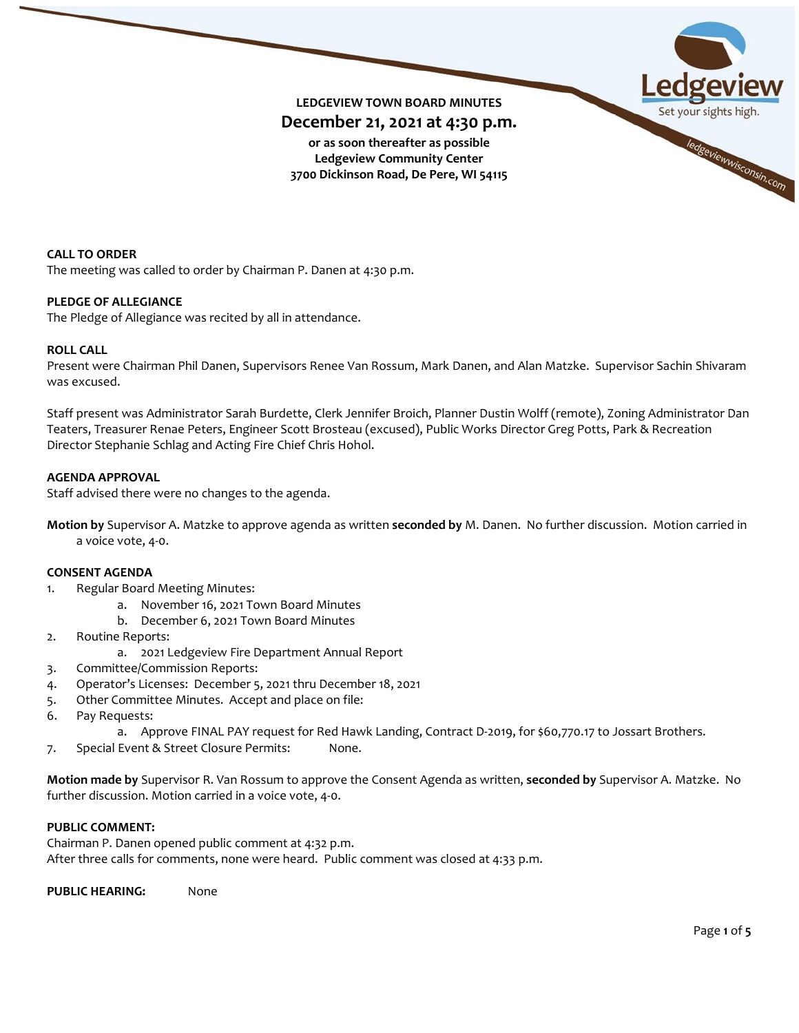

**CALL TO ORDER** The meeting was called to order by Chairman P. Danen at 4:30 p.m.

## **PLEDGE OF ALLEGIANCE**

The Pledge of Allegiance was recited by all in attendance.

### **ROLL CALL**

Present were Chairman Phil Danen, Supervisors Renee Van Rossum, Mark Danen, and Alan Matzke. Supervisor Sachin Shivaram was excused.

Staff present was Administrator Sarah Burdette, Clerk Jennifer Broich, Planner Dustin Wolff (remote), Zoning Administrator Dan Teaters, Treasurer Renae Peters, Engineer Scott Brosteau (excused), Public Works Director Greg Potts, Park & Recreation Director Stephanie Schlag and Acting Fire Chief Chris Hohol.

# **AGENDA APPROVAL**

Staff advised there were no changes to the agenda.

**Motion by** Supervisor A. Matzke to approve agenda as written **seconded by** M. Danen. No further discussion. Motion carried in a voice vote, 4-0.

### **CONSENT AGENDA**

- 1. Regular Board Meeting Minutes:
	- a. November 16, 2021 Town Board Minutes
	- b. December 6, 2021 Town Board Minutes
- 2. Routine Reports:
	- a. 2021 Ledgeview Fire Department Annual Report
- 3. Committee/Commission Reports:
- 4. Operator's Licenses: December 5, 2021 thru December 18, 2021
- 5. Other Committee Minutes. Accept and place on file:
- 6. Pay Requests:
	- a. Approve FINAL PAY request for Red Hawk Landing, Contract D-2019, for \$60,770.17 to Jossart Brothers.
- 7. Special Event & Street Closure Permits: None.

**Motion made by** Supervisor R. Van Rossum to approve the Consent Agenda as written, **seconded by** Supervisor A. Matzke. No further discussion. Motion carried in a voice vote, 4-0.

## **PUBLIC COMMENT:**

Chairman P. Danen opened public comment at 4:32 p.m. After three calls for comments, none were heard. Public comment was closed at 4:33 p.m.

**PUBLIC HEARING:** None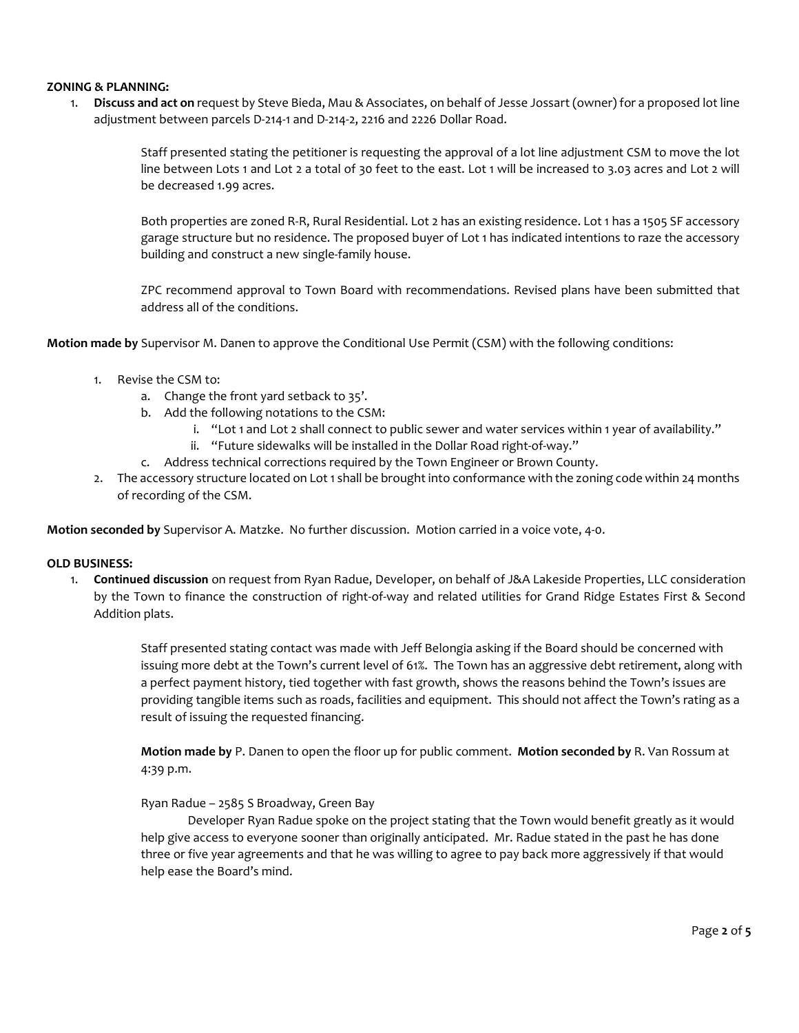## **ZONING & PLANNING:**

1. **Discuss and act on** request by Steve Bieda, Mau & Associates, on behalf of Jesse Jossart (owner) for a proposed lot line adjustment between parcels D-214-1 and D-214-2, 2216 and 2226 Dollar Road.

> Staff presented stating the petitioner is requesting the approval of a lot line adjustment CSM to move the lot line between Lots 1 and Lot 2 a total of 30 feet to the east. Lot 1 will be increased to 3.03 acres and Lot 2 will be decreased 1.99 acres.

> Both properties are zoned R-R, Rural Residential. Lot 2 has an existing residence. Lot 1 has a 1505 SF accessory garage structure but no residence. The proposed buyer of Lot 1 has indicated intentions to raze the accessory building and construct a new single-family house.

> ZPC recommend approval to Town Board with recommendations. Revised plans have been submitted that address all of the conditions.

**Motion made by** Supervisor M. Danen to approve the Conditional Use Permit (CSM) with the following conditions:

- 1. Revise the CSM to:
	- a. Change the front yard setback to 35'.
	- b. Add the following notations to the CSM:
		- i. "Lot 1 and Lot 2 shall connect to public sewer and water services within 1 year of availability."
		- ii. "Future sidewalks will be installed in the Dollar Road right-of-way."
	- c. Address technical corrections required by the Town Engineer or Brown County.
- 2. The accessory structure located on Lot 1 shall be brought into conformance with the zoning code within 24 months of recording of the CSM.

**Motion seconded by** Supervisor A. Matzke. No further discussion. Motion carried in a voice vote, 4-0.

### **OLD BUSINESS:**

1. **Continued discussion** on request from Ryan Radue, Developer, on behalf of J&A Lakeside Properties, LLC consideration by the Town to finance the construction of right-of-way and related utilities for Grand Ridge Estates First & Second Addition plats.

> Staff presented stating contact was made with Jeff Belongia asking if the Board should be concerned with issuing more debt at the Town's current level of 61%. The Town has an aggressive debt retirement, along with a perfect payment history, tied together with fast growth, shows the reasons behind the Town's issues are providing tangible items such as roads, facilities and equipment. This should not affect the Town's rating as a result of issuing the requested financing.

**Motion made by** P. Danen to open the floor up for public comment. **Motion seconded by** R. Van Rossum at 4:39 p.m.

## Ryan Radue – 2585 S Broadway, Green Bay

Developer Ryan Radue spoke on the project stating that the Town would benefit greatly as it would help give access to everyone sooner than originally anticipated. Mr. Radue stated in the past he has done three or five year agreements and that he was willing to agree to pay back more aggressively if that would help ease the Board's mind.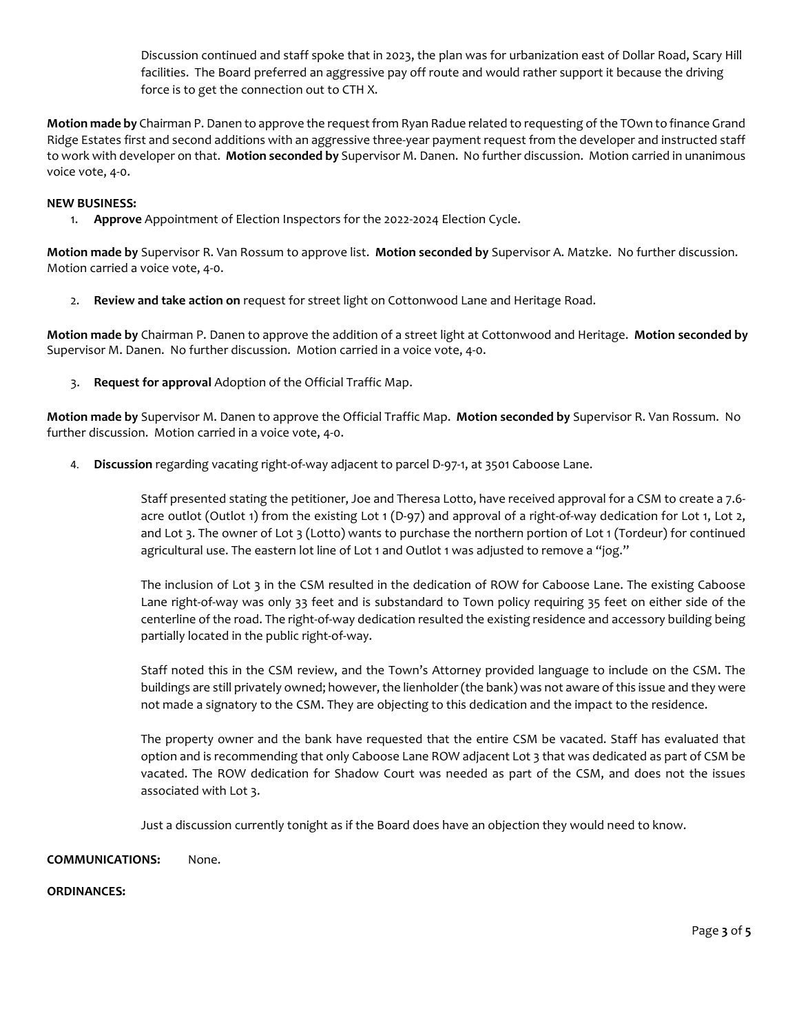Discussion continued and staff spoke that in 2023, the plan was for urbanization east of Dollar Road, Scary Hill facilities. The Board preferred an aggressive pay off route and would rather support it because the driving force is to get the connection out to CTH X.

**Motion made by** Chairman P. Danen to approve the request from Ryan Radue related to requesting of the TOwn to finance Grand Ridge Estates first and second additions with an aggressive three-year payment request from the developer and instructed staff to work with developer on that. **Motion seconded by** Supervisor M. Danen. No further discussion. Motion carried in unanimous voice vote, 4-0.

## **NEW BUSINESS:**

1. **Approve** Appointment of Election Inspectors for the 2022-2024 Election Cycle.

**Motion made by** Supervisor R. Van Rossum to approve list. **Motion seconded by** Supervisor A. Matzke. No further discussion. Motion carried a voice vote, 4-0.

2. **Review and take action on** request for street light on Cottonwood Lane and Heritage Road.

**Motion made by** Chairman P. Danen to approve the addition of a street light at Cottonwood and Heritage. **Motion seconded by** Supervisor M. Danen. No further discussion. Motion carried in a voice vote, 4-0.

3. **Request for approval** Adoption of the Official Traffic Map.

**Motion made by** Supervisor M. Danen to approve the Official Traffic Map. **Motion seconded by** Supervisor R. Van Rossum. No further discussion. Motion carried in a voice vote, 4-0.

4. **Discussion** regarding vacating right-of-way adjacent to parcel D-97-1, at 3501 Caboose Lane.

Staff presented stating the petitioner, Joe and Theresa Lotto, have received approval for a CSM to create a 7.6 acre outlot (Outlot 1) from the existing Lot 1 (D-97) and approval of a right-of-way dedication for Lot 1, Lot 2, and Lot 3. The owner of Lot 3 (Lotto) wants to purchase the northern portion of Lot 1 (Tordeur) for continued agricultural use. The eastern lot line of Lot 1 and Outlot 1 was adjusted to remove a "jog."

The inclusion of Lot 3 in the CSM resulted in the dedication of ROW for Caboose Lane. The existing Caboose Lane right-of-way was only 33 feet and is substandard to Town policy requiring 35 feet on either side of the centerline of the road. The right-of-way dedication resulted the existing residence and accessory building being partially located in the public right-of-way.

Staff noted this in the CSM review, and the Town's Attorney provided language to include on the CSM. The buildings are still privately owned; however, the lienholder (the bank) was not aware of this issue and they were not made a signatory to the CSM. They are objecting to this dedication and the impact to the residence.

The property owner and the bank have requested that the entire CSM be vacated. Staff has evaluated that option and is recommending that only Caboose Lane ROW adjacent Lot 3 that was dedicated as part of CSM be vacated. The ROW dedication for Shadow Court was needed as part of the CSM, and does not the issues associated with Lot 3.

Just a discussion currently tonight as if the Board does have an objection they would need to know.

## **COMMUNICATIONS:** None.

## **ORDINANCES:**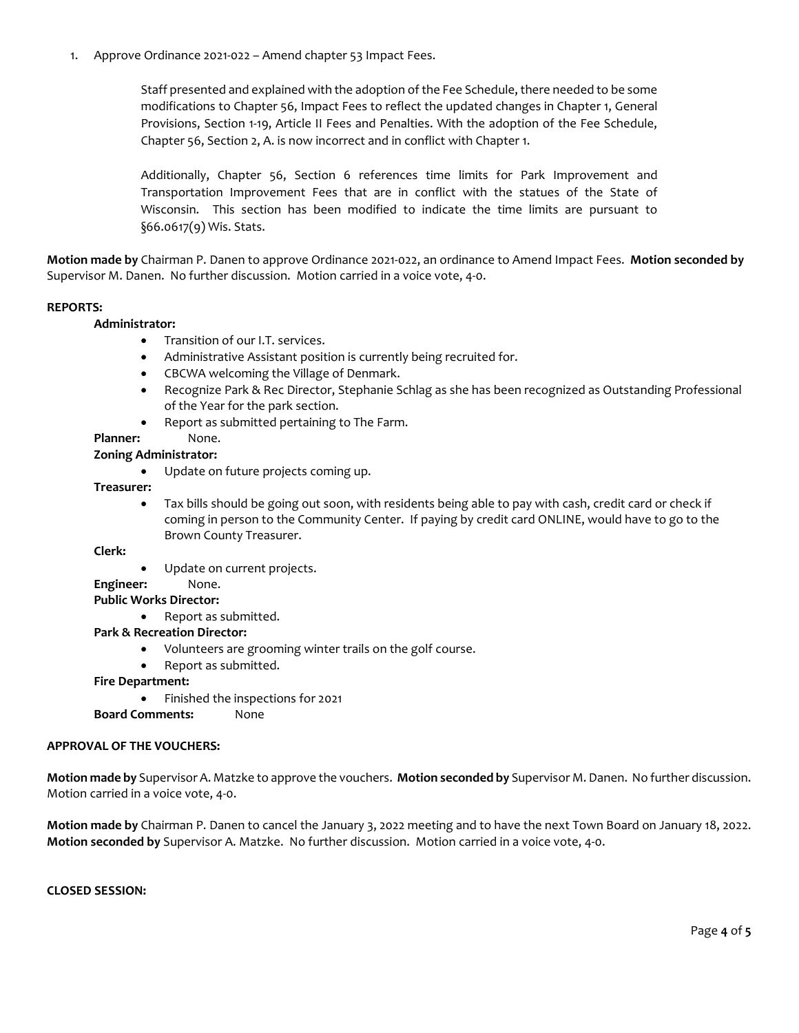1. Approve Ordinance 2021-022 – Amend chapter 53 Impact Fees.

Staff presented and explained with the adoption of the Fee Schedule, there needed to be some modifications to Chapter 56, Impact Fees to reflect the updated changes in Chapter 1, General Provisions, Section 1-19, Article II Fees and Penalties. With the adoption of the Fee Schedule, Chapter 56, Section 2, A. is now incorrect and in conflict with Chapter 1.

Additionally, Chapter 56, Section 6 references time limits for Park Improvement and Transportation Improvement Fees that are in conflict with the statues of the State of Wisconsin. This section has been modified to indicate the time limits are pursuant to §66.0617(9) Wis. Stats.

**Motion made by** Chairman P. Danen to approve Ordinance 2021-022, an ordinance to Amend Impact Fees. **Motion seconded by** Supervisor M. Danen. No further discussion. Motion carried in a voice vote, 4-0.

### **REPORTS:**

### **Administrator:**

- Transition of our I.T. services.
- Administrative Assistant position is currently being recruited for.
- CBCWA welcoming the Village of Denmark.
- Recognize Park & Rec Director, Stephanie Schlag as she has been recognized as Outstanding Professional of the Year for the park section.
- Report as submitted pertaining to The Farm.

## Planner: None.

### **Zoning Administrator:**

• Update on future projects coming up.

### **Treasurer:**

• Tax bills should be going out soon, with residents being able to pay with cash, credit card or check if coming in person to the Community Center. If paying by credit card ONLINE, would have to go to the Brown County Treasurer.

### **Clerk:**

Update on current projects.

# **Engineer:** None.

### **Public Works Director:**

• Report as submitted.

### **Park & Recreation Director:**

- Volunteers are grooming winter trails on the golf course.
- Report as submitted.

### **Fire Department:**

• Finished the inspections for 2021

**Board Comments:** None

## **APPROVAL OF THE VOUCHERS:**

**Motion made by** Supervisor A. Matzke to approve the vouchers. **Motion seconded by** Supervisor M. Danen. No further discussion. Motion carried in a voice vote, 4-0.

**Motion made by** Chairman P. Danen to cancel the January 3, 2022 meeting and to have the next Town Board on January 18, 2022. **Motion seconded by** Supervisor A. Matzke. No further discussion. Motion carried in a voice vote, 4-0.

**CLOSED SESSION:**